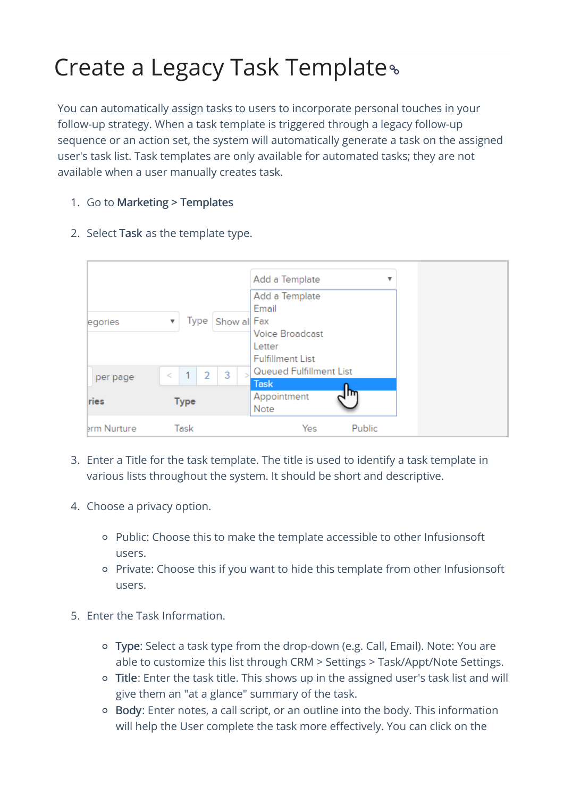## Create a Legacy Task Template

You can automatically assign tasks to users to incorporate personal touches in your follow-up strategy. When a task template is triggered through a legacy follow-up sequence or an action set, the system will automatically generate a task on the assigned user's task list. Task templates are only available for automated tasks; they are not available when a user manually creates task.

1. Go to Marketing > Templates

| egories          | Type Show all Fax<br>$\boldsymbol{\mathrm{v}}$          | Add a Template<br>v<br>Add a Template<br>Email<br><b>Voice Broadcast</b><br>Letter<br><b>Fulfillment List</b> |
|------------------|---------------------------------------------------------|---------------------------------------------------------------------------------------------------------------|
| per page<br>ries | 3<br>$\overline{2}$<br>$\mathbf{1}$<br><<br><b>Type</b> | Queued Fulfillment List<br><b>Task</b><br>m.<br>Appointment                                                   |
| erm Nurture      | Task                                                    | Note<br>Public<br>Yes                                                                                         |

2. Select Task as the template type.

- 3. Enter a Title for the task template. The title is used to identify a task template in various lists throughout the system. It should be short and descriptive.
- 4. Choose a privacy option.
	- Public: Choose this to make the template accessible to other Infusionsoft users.
	- Private: Choose this if you want to hide this template from other Infusionsoft users.
- 5. Enter the Task Information.
	- Type: Select a task type from the drop-down (e.g. Call, Email). Note: You are able to customize this list through CRM > Settings > Task/Appt/Note Settings.
	- Title: Enter the task title. This shows up in the assigned user's task list and will give them an "at a glance" summary of the task.
	- Body: Enter notes, a call script, or an outline into the body. This information will help the User complete the task more effectively. You can click on the